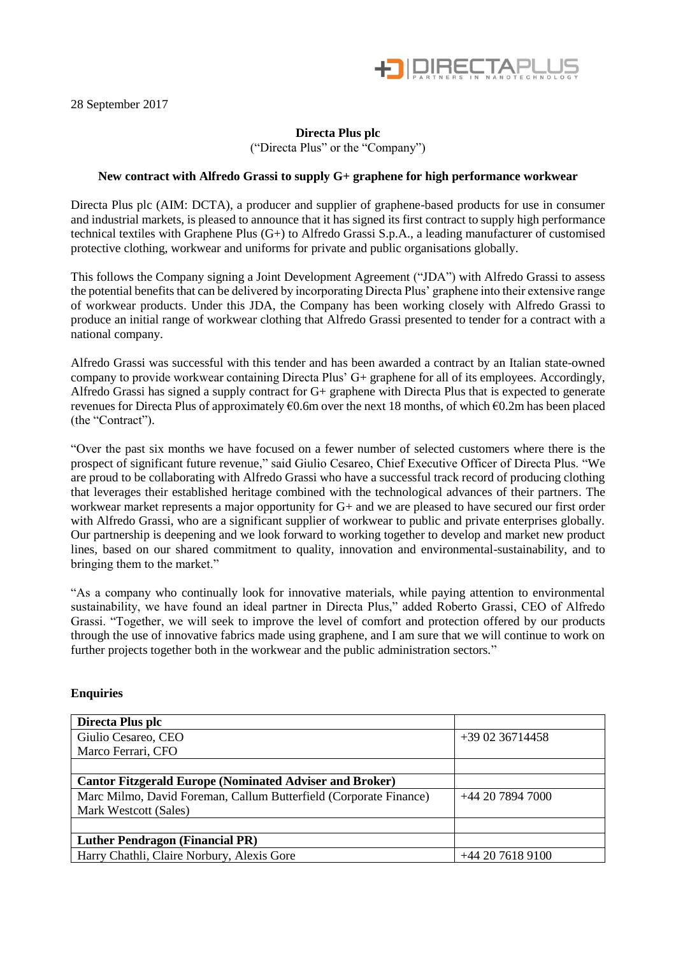

28 September 2017

# **Directa Plus plc**

("Directa Plus" or the "Company")

# **New contract with Alfredo Grassi to supply G+ graphene for high performance workwear**

Directa Plus plc (AIM: DCTA), a producer and supplier of graphene-based products for use in consumer and industrial markets, is pleased to announce that it has signed its first contract to supply high performance technical textiles with Graphene Plus (G+) to Alfredo Grassi S.p.A., a leading manufacturer of customised protective clothing, workwear and uniforms for private and public organisations globally.

This follows the Company signing a Joint Development Agreement ("JDA") with Alfredo Grassi to assess the potential benefits that can be delivered by incorporating Directa Plus' graphene into their extensive range of workwear products. Under this JDA, the Company has been working closely with Alfredo Grassi to produce an initial range of workwear clothing that Alfredo Grassi presented to tender for a contract with a national company.

Alfredo Grassi was successful with this tender and has been awarded a contract by an Italian state-owned company to provide workwear containing Directa Plus' G+ graphene for all of its employees. Accordingly, Alfredo Grassi has signed a supply contract for G+ graphene with Directa Plus that is expected to generate revenues for Directa Plus of approximately €0.6m over the next 18 months, of which €0.2m has been placed (the "Contract").

"Over the past six months we have focused on a fewer number of selected customers where there is the prospect of significant future revenue," said Giulio Cesareo, Chief Executive Officer of Directa Plus. "We are proud to be collaborating with Alfredo Grassi who have a successful track record of producing clothing that leverages their established heritage combined with the technological advances of their partners. The workwear market represents a major opportunity for G+ and we are pleased to have secured our first order with Alfredo Grassi, who are a significant supplier of workwear to public and private enterprises globally. Our partnership is deepening and we look forward to working together to develop and market new product lines, based on our shared commitment to quality, innovation and environmental-sustainability, and to bringing them to the market."

"As a company who continually look for innovative materials, while paying attention to environmental sustainability, we have found an ideal partner in Directa Plus," added Roberto Grassi, CEO of Alfredo Grassi. "Together, we will seek to improve the level of comfort and protection offered by our products through the use of innovative fabrics made using graphene, and I am sure that we will continue to work on further projects together both in the workwear and the public administration sectors."

## **Enquiries**

| Directa Plus plc                                                                           |                  |
|--------------------------------------------------------------------------------------------|------------------|
| Giulio Cesareo, CEO                                                                        | +39 02 36714458  |
| Marco Ferrari, CFO                                                                         |                  |
|                                                                                            |                  |
| <b>Cantor Fitzgerald Europe (Nominated Adviser and Broker)</b>                             |                  |
| Marc Milmo, David Foreman, Callum Butterfield (Corporate Finance)<br>Mark Westcott (Sales) | +44 20 7894 7000 |
|                                                                                            |                  |
|                                                                                            |                  |
| <b>Luther Pendragon (Financial PR)</b>                                                     |                  |
| Harry Chathli, Claire Norbury, Alexis Gore                                                 | +44 20 7618 9100 |